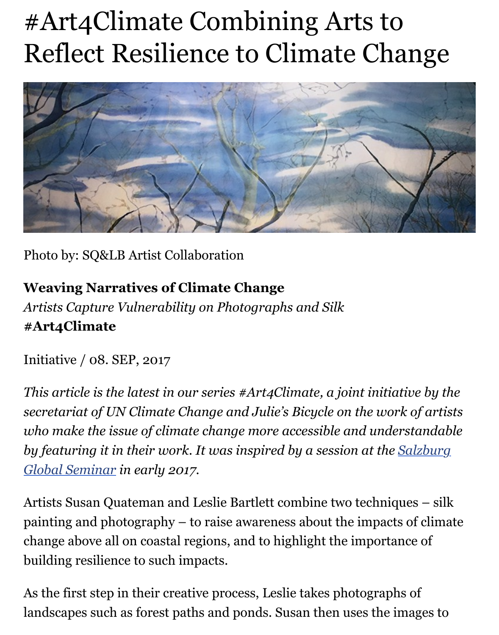

Photo by: SQ&LB Artist Collaboration

**Weaving Narratives of Climate Change** *Artists Capture Vulnerability on Photographs and Silk* **#Art4Climate**

Initiative / 08. SEP, 2017

*This article is the latest in our series #Art4Climate, a joint initiative secretariat of UN Climate Change and Julie's Bicycle on the work of* who make the issue of climate change more accessible and understand by featuring it in their work. It was inspired by a session at the Salz *Global Seminar in early 2017.*

Artists Susan Quateman and Leslie Bartlett combine two techniques painting and photography  $-$  to raise awareness about the impacts of  $\alpha$ [change above all on coastal regions, and to highlight the importance of](http://www.salzburgglobal.org/topics/article/nick-nuttall-we-need-to-bring-together-different-voices-and-use-every-single-resource-we-have-to.html) building resilience to such impacts.

As the first step in their creative process, Leslie takes photographs of landscapes such as forest paths and ponds. Susan then uses the image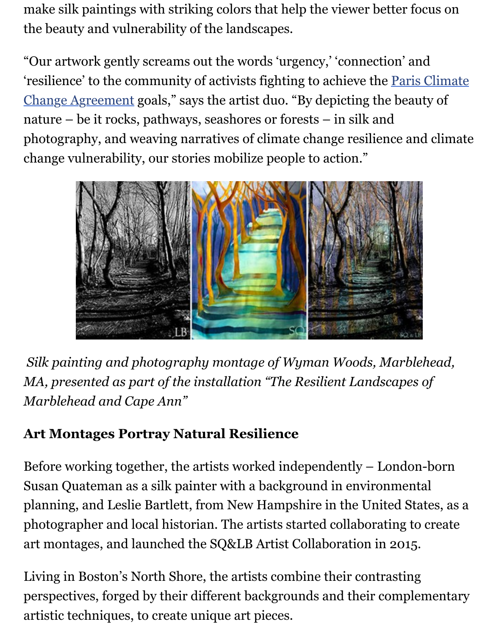'resilience' to the community of activists fighting to achieve the Paris Climate Change Agreement goals," says the artist duo. "By depicting the beauty nature – be it rocks, pathways, seashores or forests – in silk and photography, and weaving narratives of climate change resilience and [change vulnerability, our stories mobilize people to action."](http://unfccc.int/paris_agreement/items/9485.php)



*Silk painting and photography montage of Wyman Woods, Marble MA, presented as part of the installation "The Resilient Landscapes Marblehead and Cape Ann"*

## **Art Montages Portray Natural Resilience**

Before working together, the artists worked independently  $-$  London-Susan Quateman as a silk painter with a background in environmental planning, and Leslie Bartlett, from New Hampshire in the United Sta photographer and local historian. The artists started collaborating to art montages, and launched the SQ&LB Artist Collaboration in 2015.

Living in Boston's North Shore, the artists combine their contrasting perspectives, forged by their different backgrounds and their complements artistic techniques, to create unique art pieces.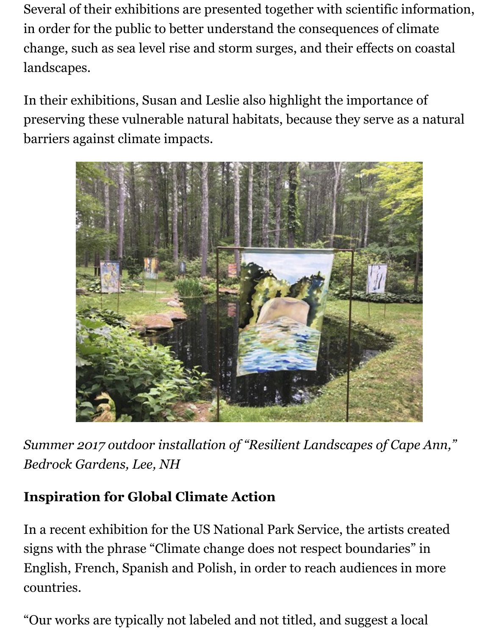Several of their exhibitions are presented together with scientific information, in order for the public to better understand the consequences of climate change, such as sea level rise and storm surges, and their effects on coastal landscapes.

In their exhibitions, Susan and Leslie also highlight the importance of preserving these vulnerable natural habitats, because they serve as a natural barriers against climate impacts.



*Summer 2017 outdoor installation of "Resilient Landscapes of Cape Ann," Bedrock Gardens, Lee, NH*

## **Inspiration for Global Climate Action**

In a recent exhibition for the US National Park Service, the artists created signs with the phrase "Climate change does not respect boundaries" in English, French, Spanish and Polish, in order to reach audiences in more countries.

"Our works are typically not labeled and not titled, and suggest a local